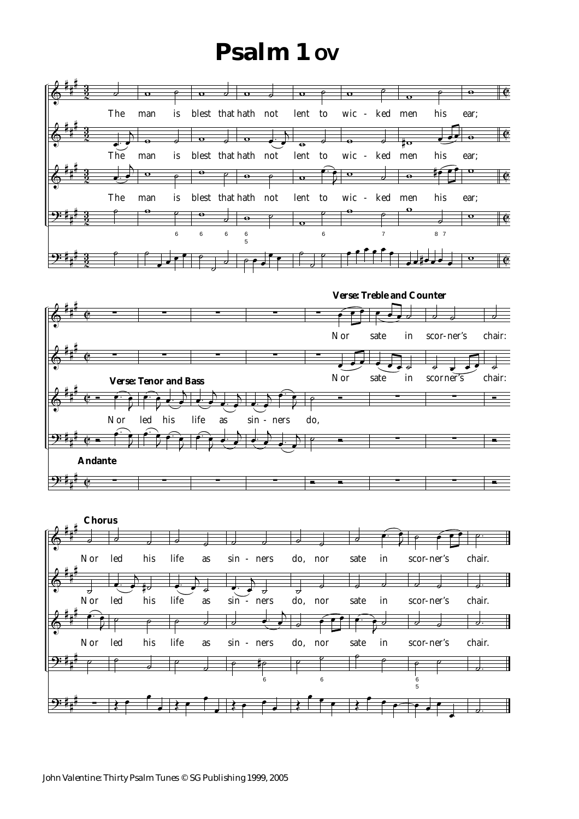## **Psalm 1 OV**





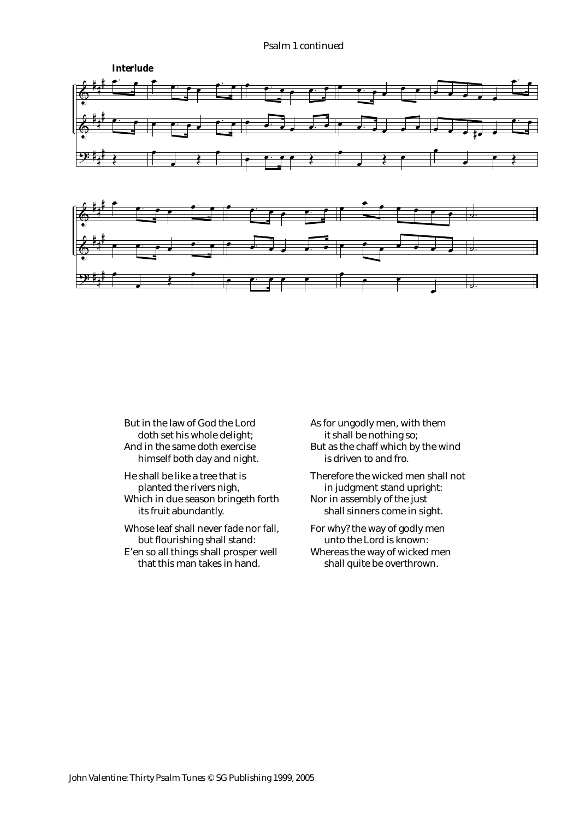#### *Psalm 1 continued*



But in the law of God the Lord doth set his whole delight; And in the same doth exercise himself both day and night.

He shall be like a tree that is planted the rivers nigh, Which in due season bringeth forth its fruit abundantly.

Whose leaf shall never fade nor fall, but flourishing shall stand: E'en so all things shall prosper well that this man takes in hand.

As for ungodly men, with them it shall be nothing so; But as the chaff which by the wind is driven to and fro.

Therefore the wicked men shall not in judgment stand upright: Nor in assembly of the just shall sinners come in sight.

For why? the way of godly men unto the Lord is known: Whereas the way of wicked men shall quite be overthrown.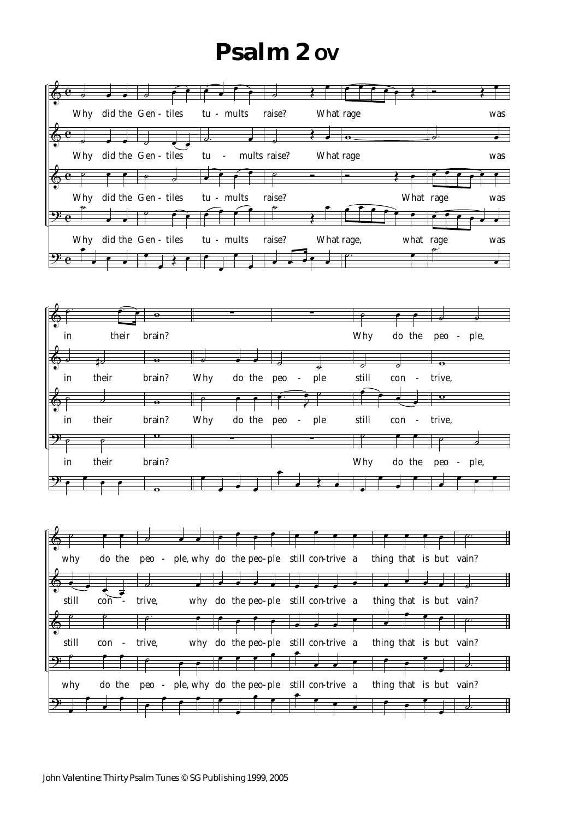# **Psalm 2 ov**

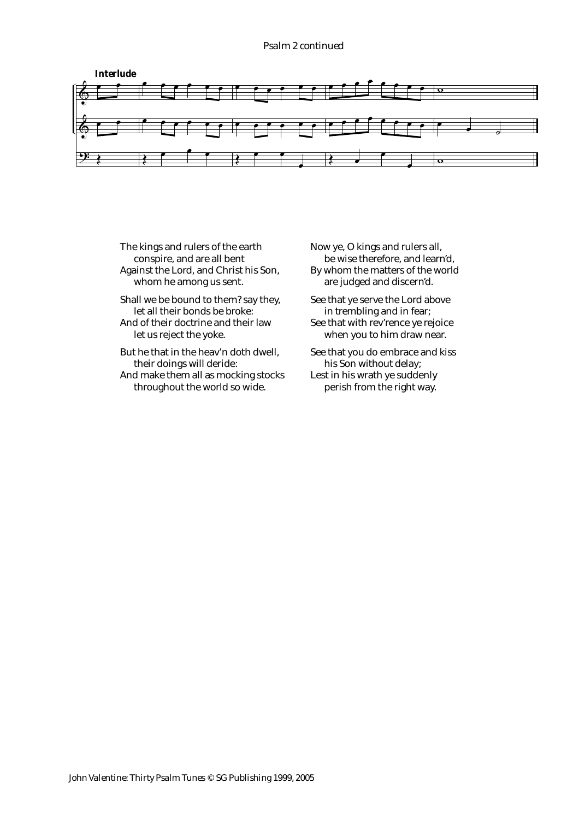#### *Psalm 2 continued*



- The kings and rulers of the earth conspire, and are all bent Against the Lord, and Christ his Son, whom he among us sent.
- Shall we be bound to them? say they, let all their bonds be broke: And of their doctrine and their law
- let us reject the yoke.
- But he that in the heav'n doth dwell, their doings will deride: And make them all as mocking stocks throughout the world so wide.

Now ye, O kings and rulers all, be wise therefore, and learn'd, By whom the matters of the world are judged and discern'd.

- See that ye serve the Lord above in trembling and in fear; See that with rev'rence ye rejoice when you to him draw near.
- See that you do embrace and kiss his Son without delay; Lest in his wrath ye suddenly perish from the right way.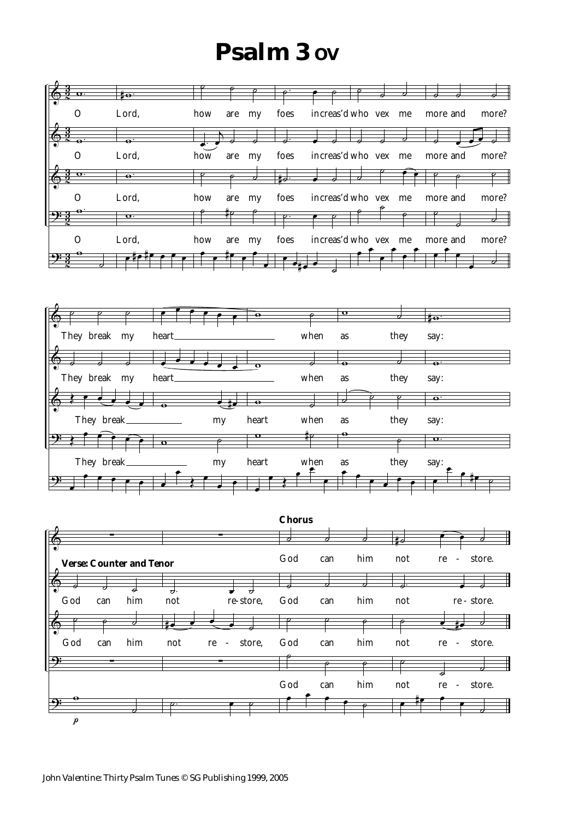# **Psalm 3 OV**





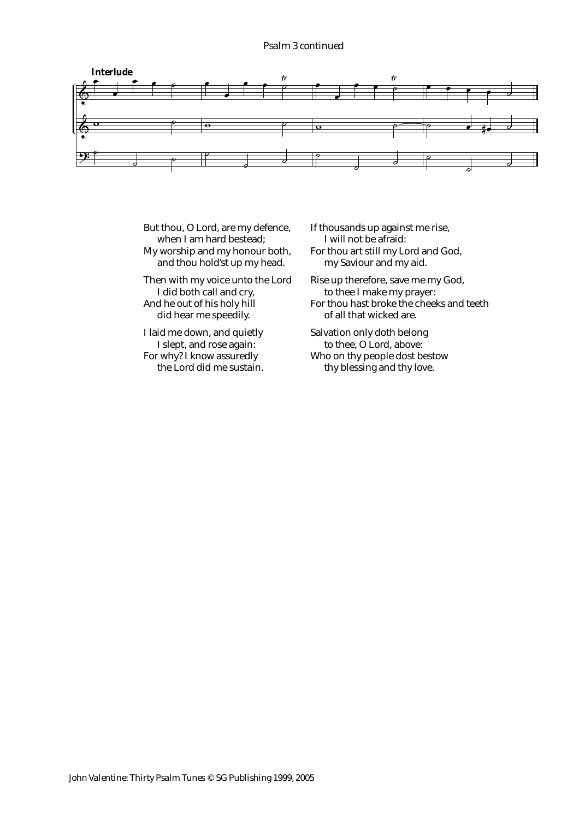### *Psalm 3 continued*



- But thou, O Lord, are my defence, when I am hard bestead; My worship and my honour both, and thou hold'st up my head. Then with my voice unto the Lord
- I did both call and cry, And he out of his holy hill did hear me speedily.
- I laid me down, and quietly I slept, and rose again: For why? I know assuredly the Lord did me sustain.
- If thousands up against me rise, I will not be afraid: For thou art still my Lord and God, my Saviour and my aid.
- Rise up therefore, save me my God, to thee I make my prayer: For thou hast broke the cheeks and teeth of all that wicked are.
- Salvation only doth belong to thee, O Lord, above: Who on thy people dost bestow
	- thy blessing and thy love.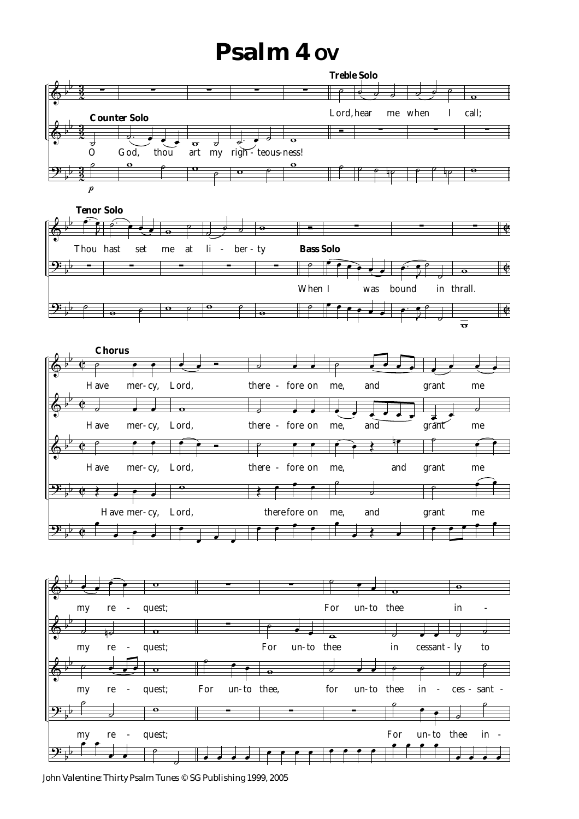# **Psalm 4 OV**



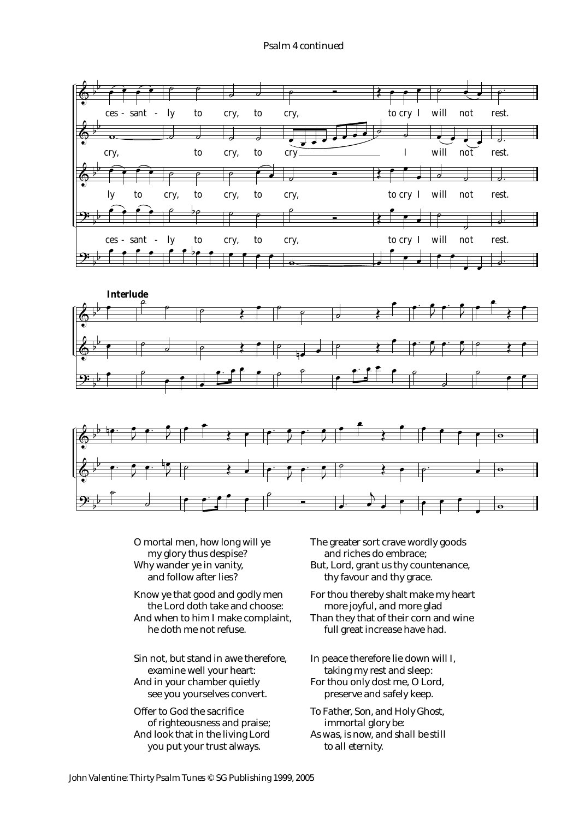#### *Psalm 4 continued*







O mortal men, how long will ye my glory thus despise? Why wander ye in vanity, and follow after lies?

Know ye that good and godly men the Lord doth take and choose: And when to him I make complaint, he doth me not refuse.

Sin not, but stand in awe therefore, examine well your heart: And in your chamber quietly see you yourselves convert.

Offer to God the sacrifice of righteousness and praise; And look that in the living Lord you put your trust always.

The greater sort crave wordly goods and riches do embrace; But, Lord, grant us thy countenance,

thy favour and thy grace.

For thou thereby shalt make my heart more joyful, and more glad Than they that of their corn and wine

full great increase have had.

In peace therefore lie down will I, taking my rest and sleep: For thou only dost me, O Lord, preserve and safely keep.

*To Father, Son, and Holy Ghost, immortal glory be: As was, is now, and shall be still to all eternity.*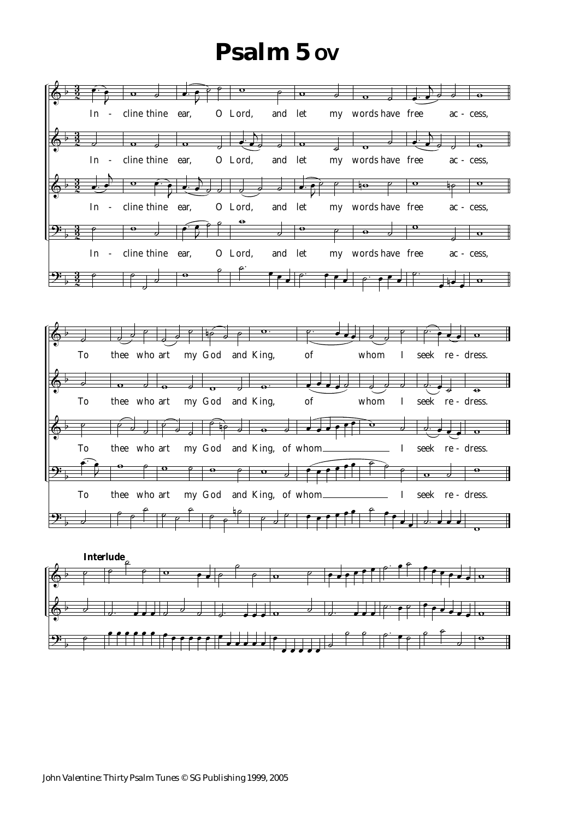## **Psalm 5 OV**

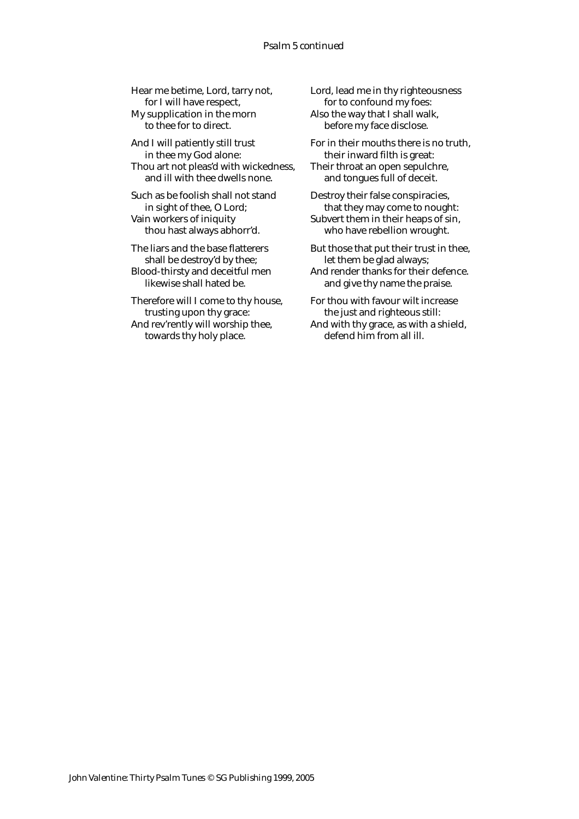Hear me betime, Lord, tarry not, for I will have respect, My supplication in the morn to thee for to direct.

And I will patiently still trust in thee my God alone: Thou art not pleas'd with wickedness, and ill with thee dwells none.

Such as be foolish shall not stand in sight of thee, O Lord; Vain workers of iniquity thou hast always abhorr'd.

The liars and the base flatterers shall be destroy'd by thee; Blood-thirsty and deceitful men likewise shall hated be.

Therefore will I come to thy house, trusting upon thy grace: And rev'rently will worship thee,

towards thy holy place.

Lord, lead me in thy righteousness for to confound my foes: Also the way that I shall walk, before my face disclose.

For in their mouths there is no truth, their inward filth is great: Their throat an open sepulchre, and tongues full of deceit.

Destroy their false conspiracies, that they may come to nought: Subvert them in their heaps of sin, who have rebellion wrought.

But those that put their trust in thee, let them be glad always; And render thanks for their defence. and give thy name the praise.

For thou with favour wilt increase the just and righteous still:

And with thy grace, as with a shield, defend him from all ill.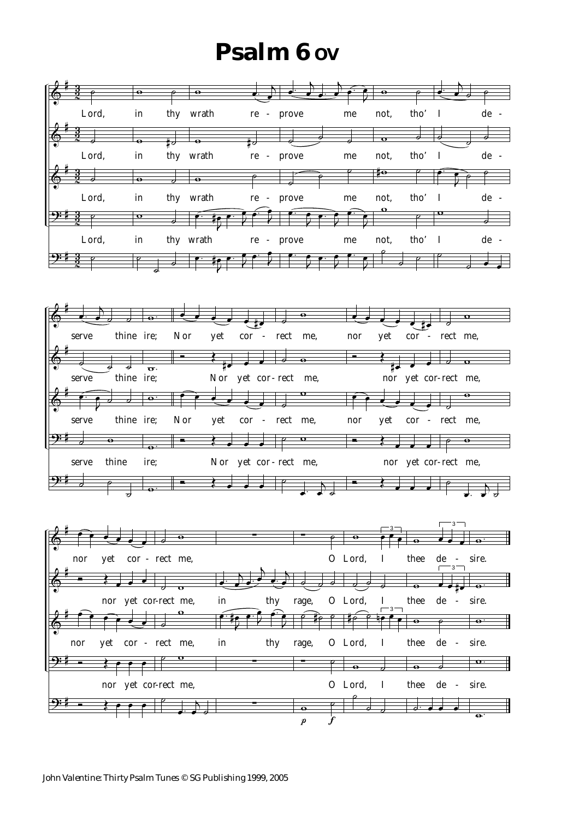# **Psalm 6 OV**

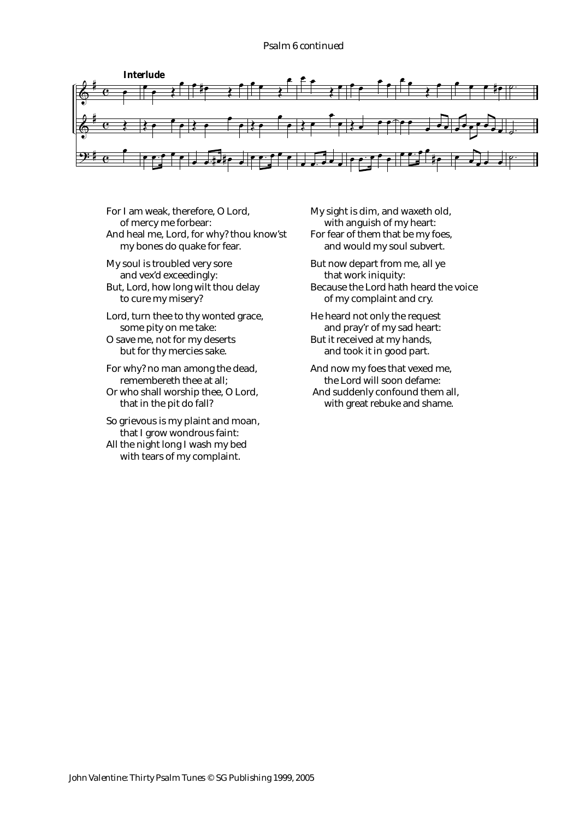### *Psalm 6 continued*



For I am weak, therefore, O Lord, of mercy me forbear: And heal me, Lord, for why? thou know'st my bones do quake for fear.

My soul is troubled very sore and vex'd exceedingly: But, Lord, how long wilt thou delay to cure my misery?

- Lord, turn thee to thy wonted grace, some pity on me take:
- O save me, not for my deserts but for thy mercies sake.
- For why? no man among the dead, remembereth thee at all;
- Or who shall worship thee, O Lord, that in the pit do fall?
- So grievous is my plaint and moan, that I grow wondrous faint:
- All the night long I wash my bed with tears of my complaint.

My sight is dim, and waxeth old, with anguish of my heart: For fear of them that be my foes, and would my soul subvert.

But now depart from me, all ye that work iniquity: Because the Lord hath heard the voice of my complaint and cry.

- He heard not only the request and pray'r of my sad heart: But it received at my hands, and took it in good part.
- And now my foes that vexed me, the Lord will soon defame: And suddenly confound them all, with great rebuke and shame.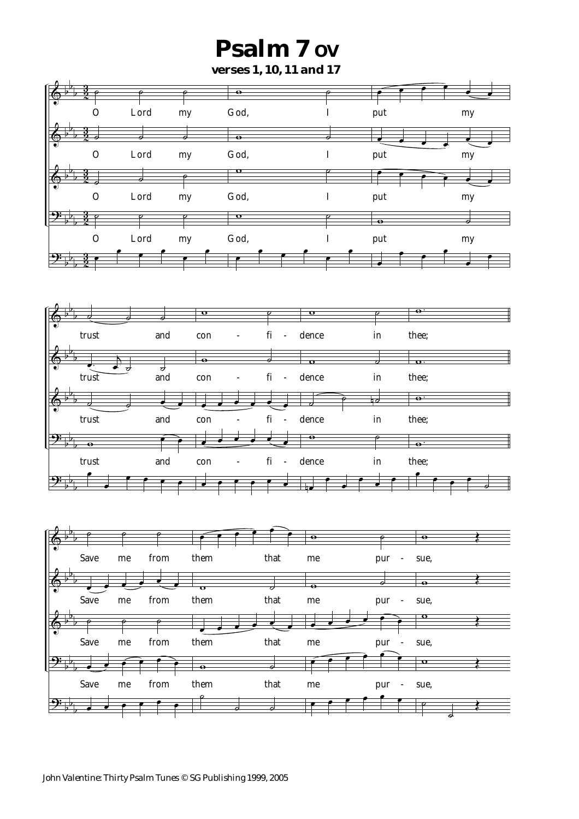# **Psalm 7 OV**

**verses 1, 10, 11 and 17**

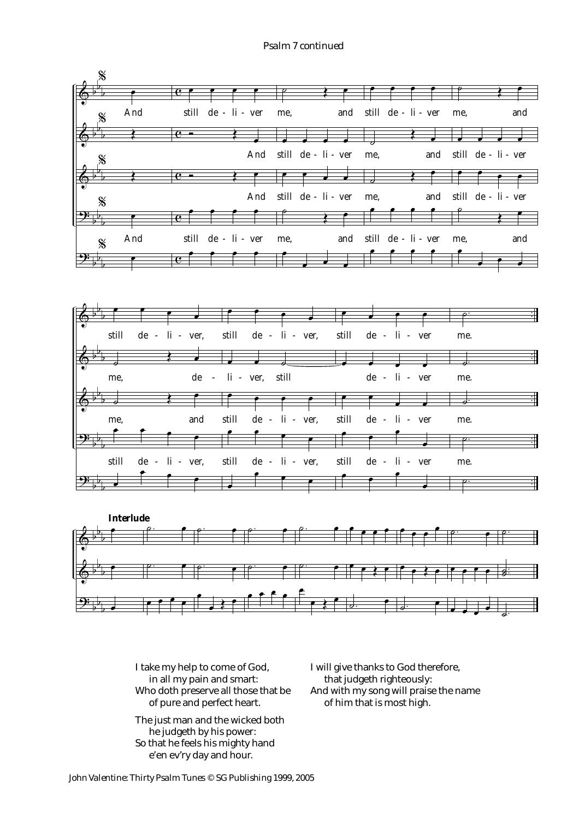*Psalm 7 continued*





I take my help to come of God, in all my pain and smart: Who doth preserve all those that be of pure and perfect heart.

The just man and the wicked both he judgeth by his power: So that he feels his mighty hand e'en ev'ry day and hour.

I will give thanks to God therefore, that judgeth righteously: And with my song will praise the name of him that is most high.

*John Valentine: Thirty Psalm Tunes © SG Publishing 1999, 2005*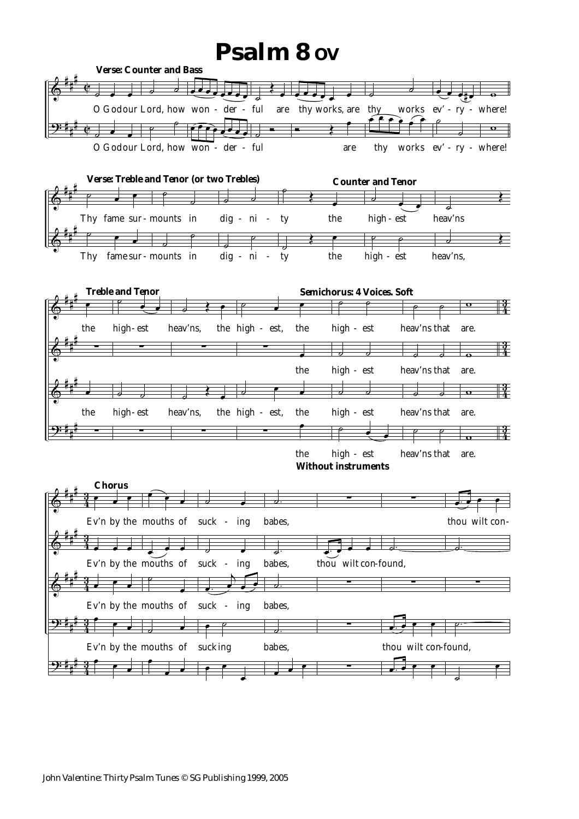### **Psalm 8 OV**

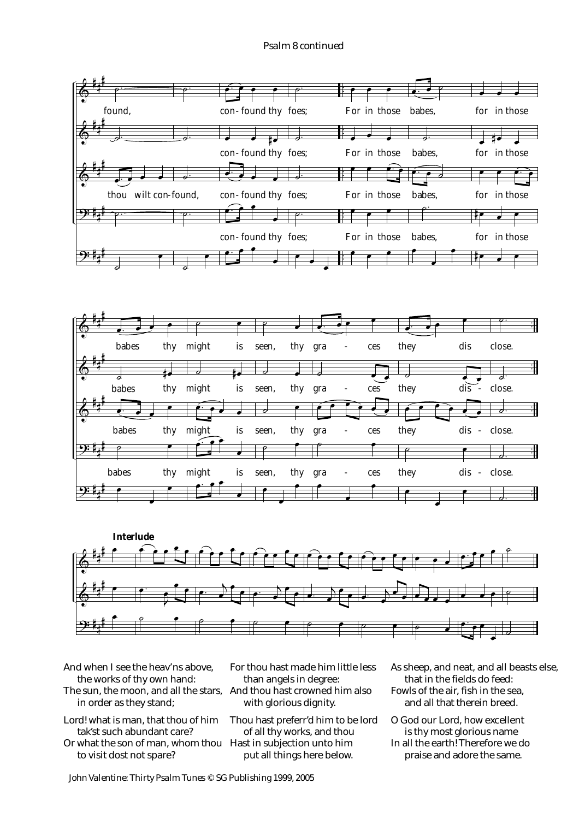### *Psalm 8 continued*







And when I see the heav'ns above, the works of thy own hand:

- The sun, the moon, and all the stars, And thou hast crowned him also in order as they stand;
- Lord! what is man, that thou of him tak'st such abundant care? Or what the son of man, whom thou Hast in subjection unto him to visit dost not spare?

For thou hast made him little less than angels in degree: with glorious dignity.

Thou hast preferr'd him to be lord of all thy works, and thou put all things here below.

As sheep, and neat, and all beasts else, that in the fields do feed: Fowls of the air, fish in the sea, and all that therein breed.

O God our Lord, how excellent is thy most glorious name In all the earth! Therefore we do praise and adore the same.

*John Valentine: Thirty Psalm Tunes © SG Publishing 1999, 2005*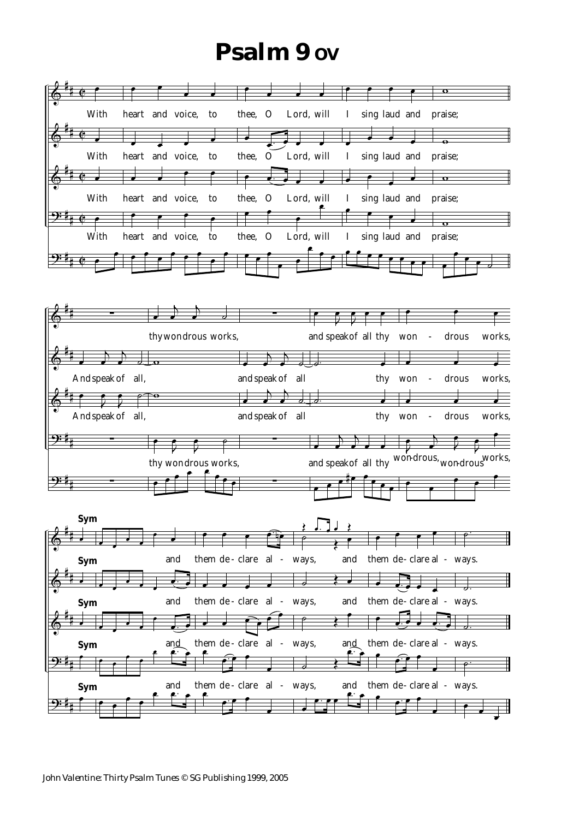# **Psalm 9 ov**

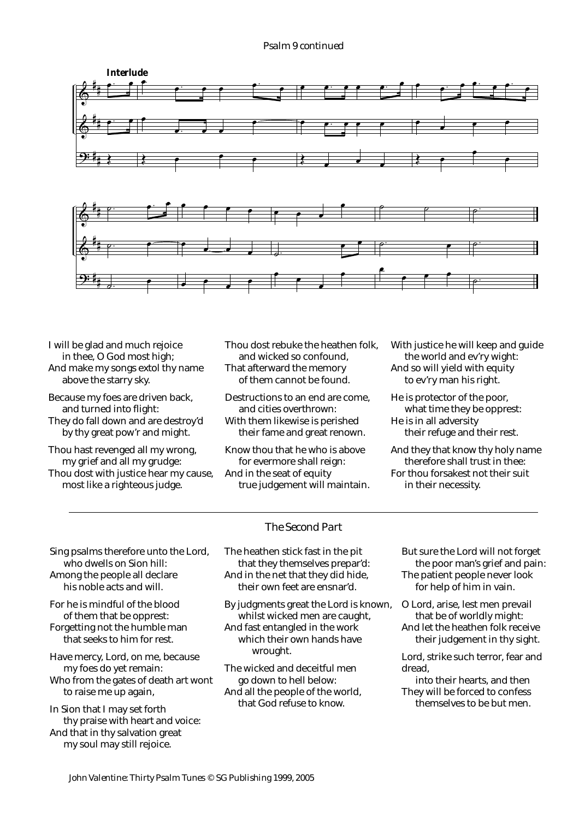### *Psalm 9 continued*



I will be glad and much rejoice in thee, O God most high; And make my songs extol thy name above the starry sky.

- Because my foes are driven back, and turned into flight: They do fall down and are destroy'd by thy great pow'r and might.
- Thou hast revenged all my wrong, my grief and all my grudge: Thou dost with justice hear my cause, most like a righteous judge.

Thou dost rebuke the heathen folk, and wicked so confound, That afterward the memory of them cannot be found.

Destructions to an end are come, and cities overthrown: With them likewise is perished their fame and great renown.

Know thou that he who is above for evermore shall reign: And in the seat of equity true judgement will maintain. With justice he will keep and guide the world and ev'ry wight: And so will yield with equity to ev'ry man his right.

He is protector of the poor, what time they be opprest: He is in all adversity their refuge and their rest.

And they that know thy holy name therefore shall trust in thee: For thou forsakest not their suit in their necessity.

### *The Second Part*

Sing psalms therefore unto the Lord. who dwells on Sion hill: Among the people all declare his noble acts and will.

For he is mindful of the blood of them that be opprest: Forgetting not the humble man that seeks to him for rest.

Have mercy, Lord, on me, because my foes do yet remain:

Who from the gates of death art wont to raise me up again,

In Sion that I may set forth thy praise with heart and voice: And that in thy salvation great my soul may still rejoice.

The heathen stick fast in the pit that they themselves prepar'd: And in the net that they did hide, their own feet are ensnar'd.

By judgments great the Lord is known, whilst wicked men are caught,

And fast entangled in the work which their own hands have wrought.

The wicked and deceitful men go down to hell below: And all the people of the world, that God refuse to know.

But sure the Lord will not forget the poor man's grief and pain: The patient people never look for help of him in vain.

O Lord, arise, lest men prevail that be of worldly might: And let the heathen folk receive their judgement in thy sight.

Lord, strike such terror, fear and dread,

into their hearts, and then They will be forced to confess themselves to be but men.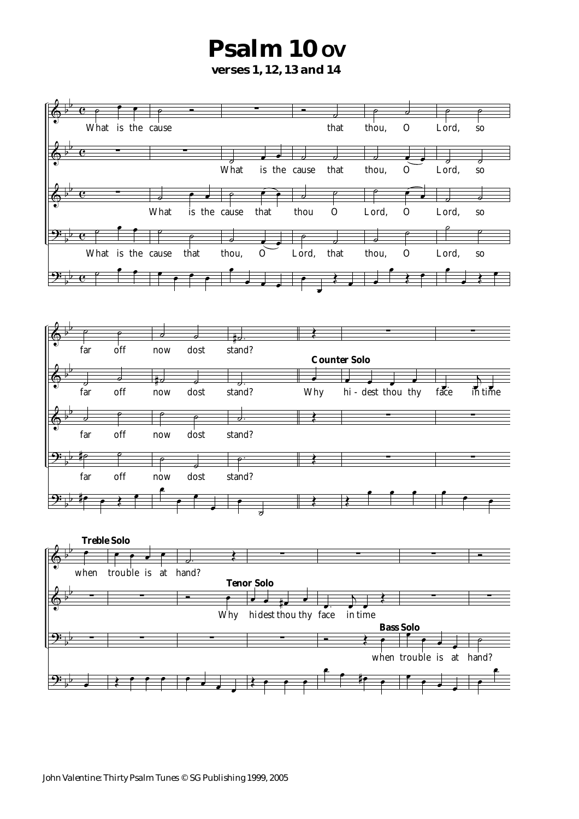### **Psalm 10 ov verses 1, 12, 13 and 14**

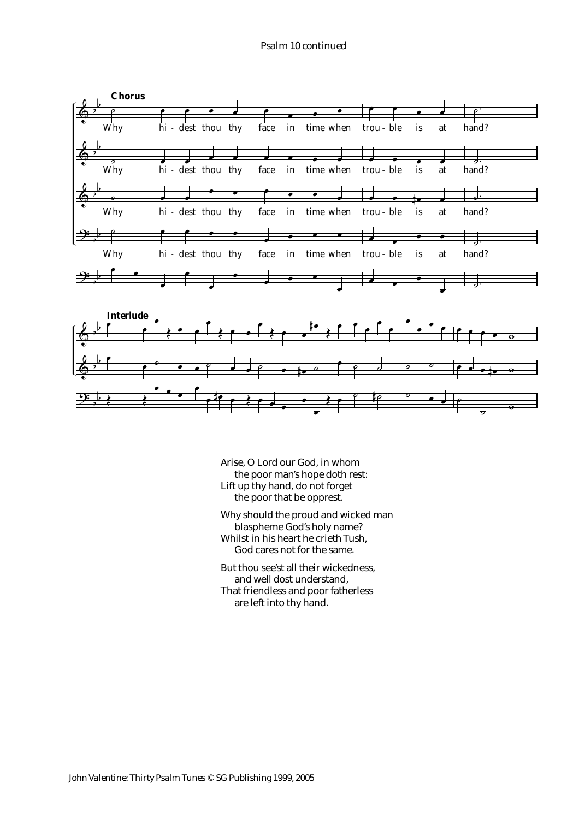

Arise, O Lord our God, in whom the poor man's hope doth rest: Lift up thy hand, do not forget the poor that be opprest.

Why should the proud and wicked man blaspheme God's holy name? Whilst in his heart he crieth Tush, God cares not for the same.

But thou see'st all their wickedness, and well dost understand, That friendless and poor fatherless are left into thy hand.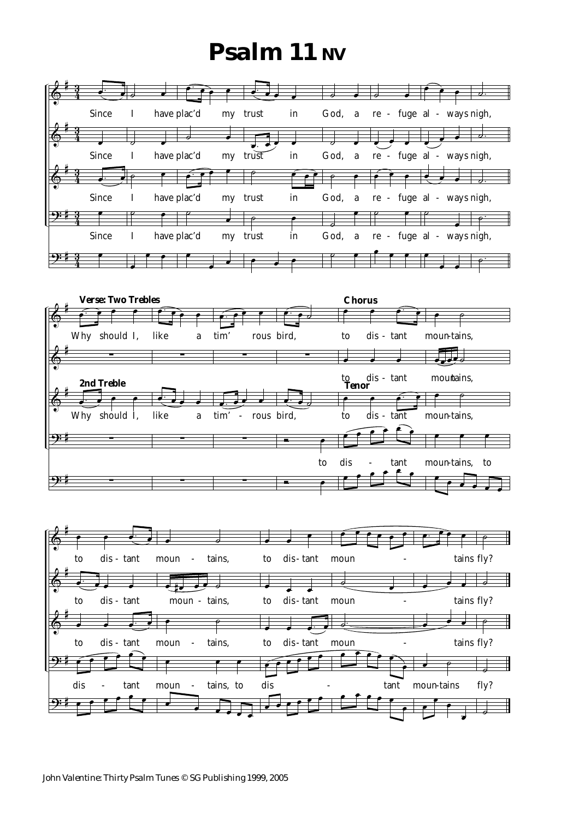# **Psalm 11 NV**





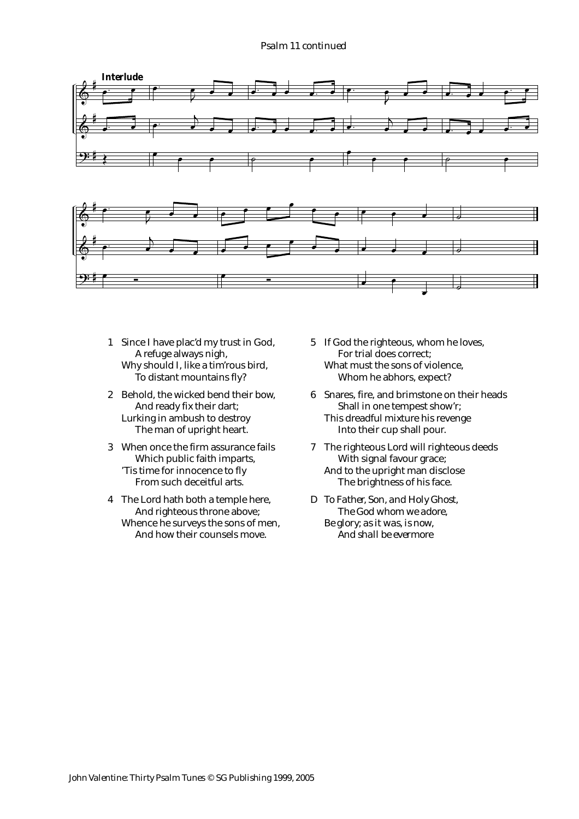### *Psalm 11 continued*



- 1 Since I have plac'd my trust in God, A refuge always nigh, Why should I, like a tim'rous bird, To distant mountains fly?
- 2 Behold, the wicked bend their bow, And ready fix their dart; Lurking in ambush to destroy The man of upright heart.
- 3 When once the firm assurance fails Which public faith imparts, 'Tis time for innocence to fly From such deceitful arts.
- 4 The Lord hath both a temple here, And righteous throne above; Whence he surveys the sons of men, And how their counsels move.
- 5 If God the righteous, whom he loves, For trial does correct; What must the sons of violence, Whom he abhors, expect?
- 6 Snares, fire, and brimstone on their heads Shall in one tempest show'r; This dreadful mixture his revenge Into their cup shall pour.
- 7 The righteous Lord will righteous deeds With signal favour grace; And to the upright man disclose The brightness of his face.
- *D To Father, Son, and Holy Ghost, The God whom we adore, Be glory; as it was, is now, And shall be evermore*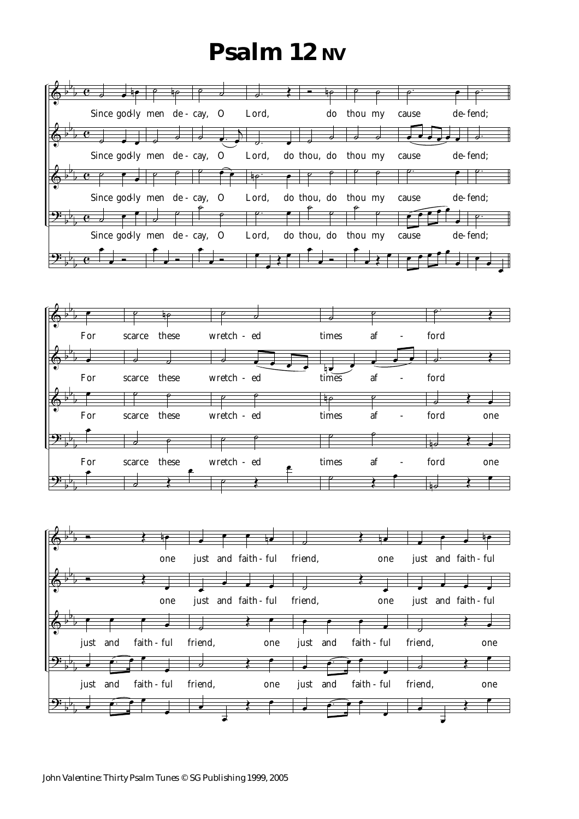# **Psalm 12 NV**

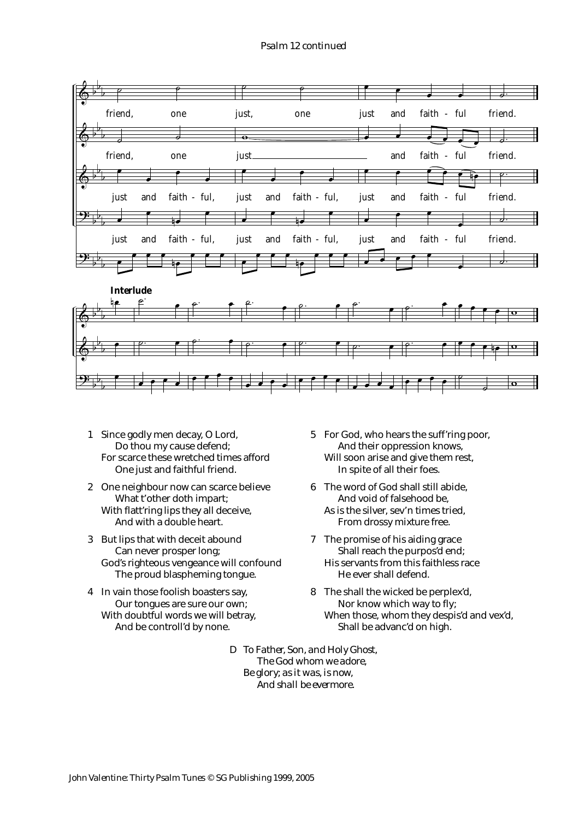### *Psalm 12 continued*



- 1 Since godly men decay, O Lord, Do thou my cause defend; For scarce these wretched times afford One just and faithful friend.
- 2 One neighbour now can scarce believe What t'other doth impart; With flatt'ring lips they all deceive, And with a double heart.
- 3 But lips that with deceit abound Can never prosper long; God's righteous vengeance will confound The proud blaspheming tongue.
- 4 In vain those foolish boasters say, Our tongues are sure our own; With doubtful words we will betray, And be controll'd by none.
- 5 For God, who hears the suff'ring poor, And their oppression knows, Will soon arise and give them rest, In spite of all their foes.
- 6 The word of God shall still abide, And void of falsehood be, As is the silver, sev'n times tried, From drossy mixture free.
- 7 The promise of his aiding grace Shall reach the purpos'd end; His servants from this faithless race He ever shall defend.
- 8 The shall the wicked be perplex'd, Nor know which way to fly; When those, whom they despis'd and vex'd, Shall be advanc'd on high.
- *D To Father, Son, and Holy Ghost, The God whom we adore, Be glory; as it was, is now, And shall be evermore.*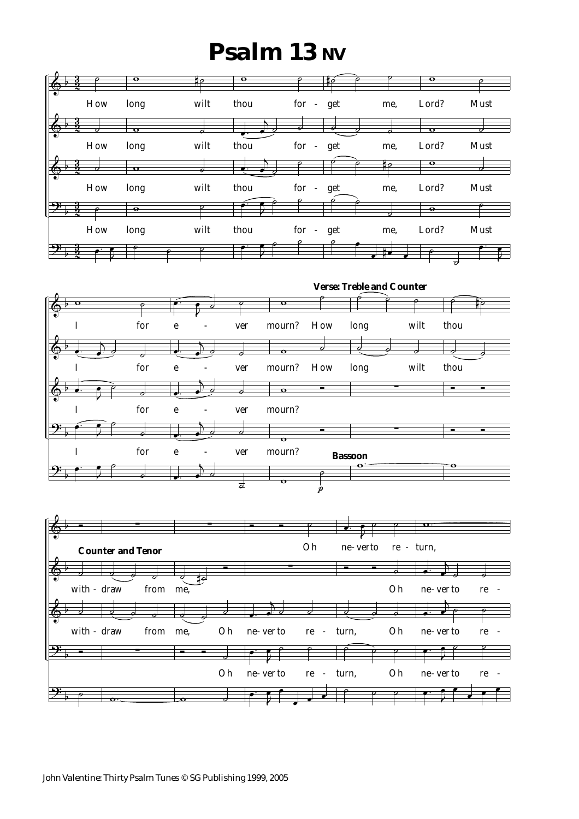# **Psalm 13 NV**

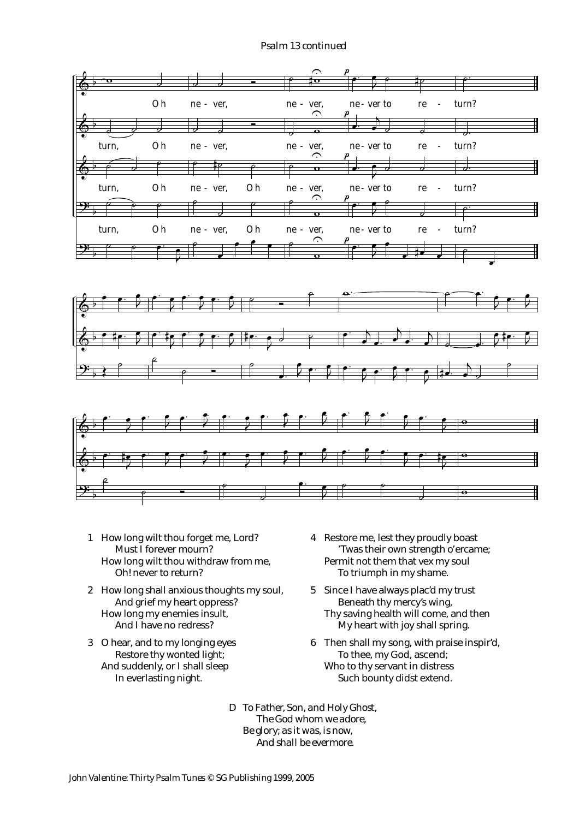### *Psalm 13 continued*



- 1 How long wilt thou forget me, Lord? Must I forever mourn? How long wilt thou withdraw from me, Oh! never to return?
- 2 How long shall anxious thoughts my soul, And grief my heart oppress? How long my enemies insult, And I have no redress?
- 3 O hear, and to my longing eyes Restore thy wonted light; And suddenly, or I shall sleep In everlasting night.
- 4 Restore me, lest they proudly boast 'Twas their own strength o'ercame; Permit not them that vex my soul To triumph in my shame.
- 5 Since I have always plac'd my trust Beneath thy mercy's wing, Thy saving health will come, and then My heart with joy shall spring.
- 6 Then shall my song, with praise inspir'd, To thee, my God, ascend; Who to thy servant in distress Such bounty didst extend.

*D To Father, Son, and Holy Ghost, The God whom we adore, Be glory; as it was, is now, And shall be evermore.*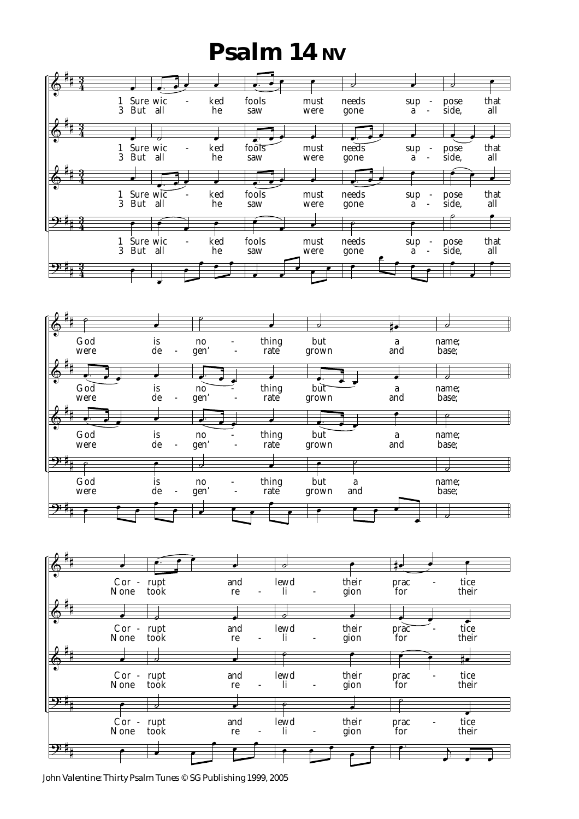# **Psalm 14 NV**



*John Valentine: Thirty Psalm Tunes © SG Publishing 1999, 2005*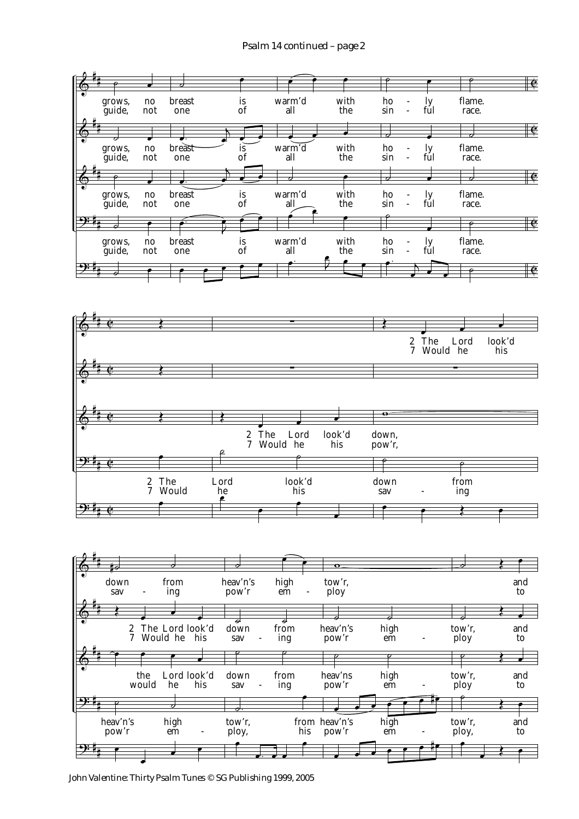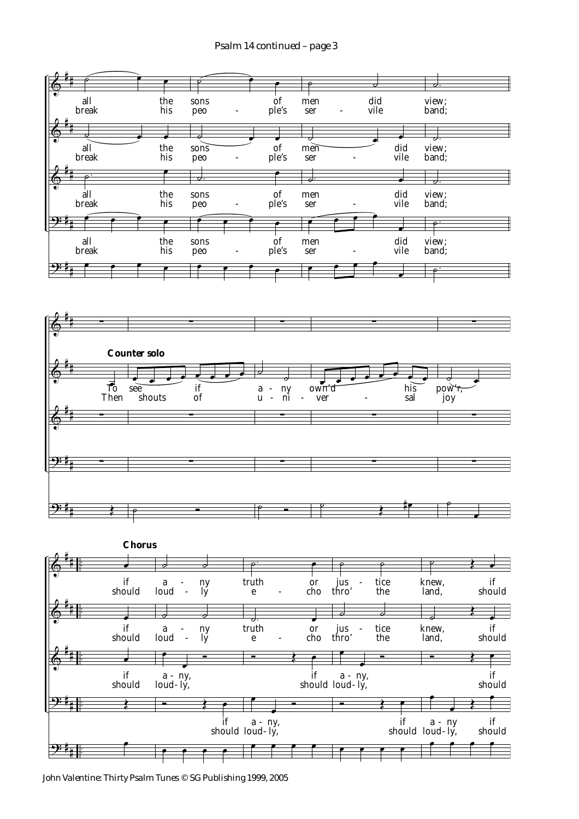

*John Valentine: Thirty Psalm Tunes © SG Publishing 1999, 2005*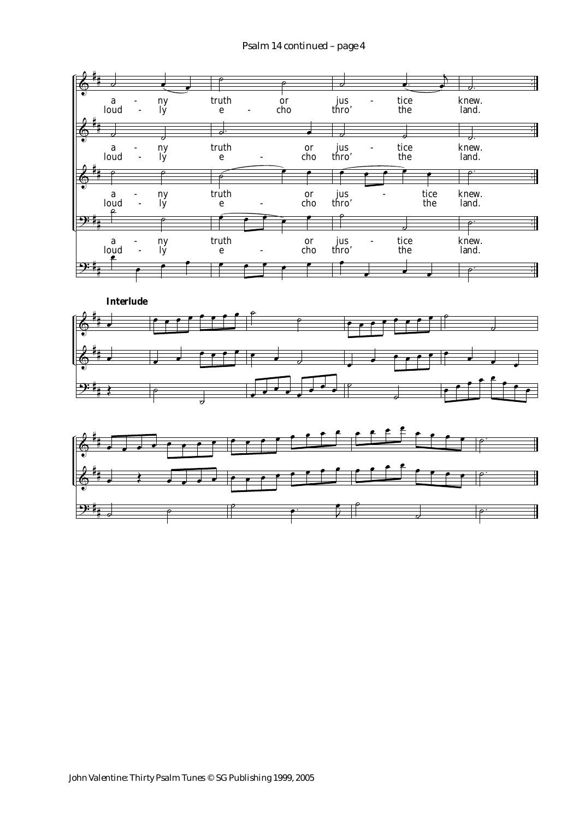### *Psalm 14 continued – page 4*





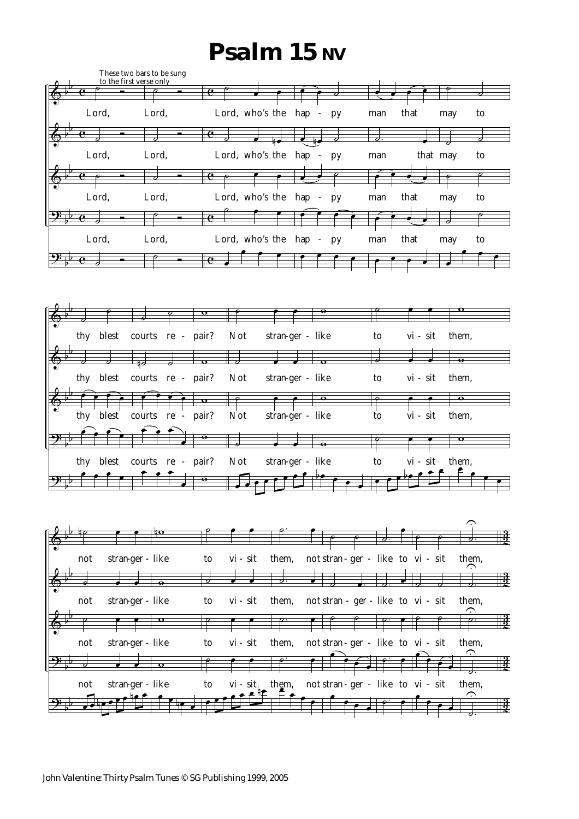# **Psalm 15 NV**





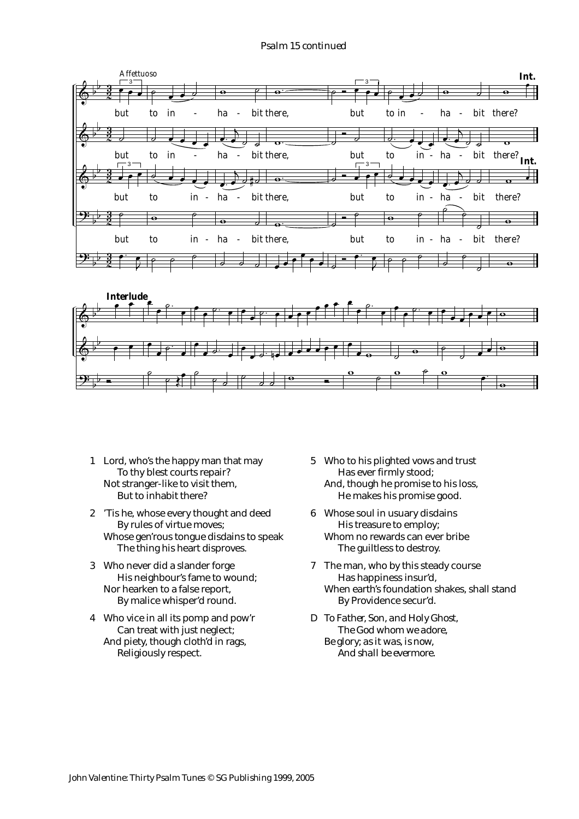### *Psalm 15 continued*





- 1 Lord, who's the happy man that may To thy blest courts repair? Not stranger-like to visit them, But to inhabit there?
- 2 'Tis he, whose every thought and deed By rules of virtue moves; Whose gen'rous tongue disdains to speak The thing his heart disproves.
- 3 Who never did a slander forge His neighbour's fame to wound; Nor hearken to a false report, By malice whisper'd round.
- 4 Who vice in all its pomp and pow'r Can treat with just neglect; And piety, though cloth'd in rags, Religiously respect.
- 5 Who to his plighted vows and trust Has ever firmly stood; And, though he promise to his loss, He makes his promise good.
- 6 Whose soul in usuary disdains His treasure to employ; Whom no rewards can ever bribe The guiltless to destroy.
- 7 The man, who by this steady course Has happiness insur'd, When earth's foundation shakes, shall stand By Providence secur'd.
- *D To Father, Son, and Holy Ghost, The God whom we adore, Be glory; as it was, is now, And shall be evermore.*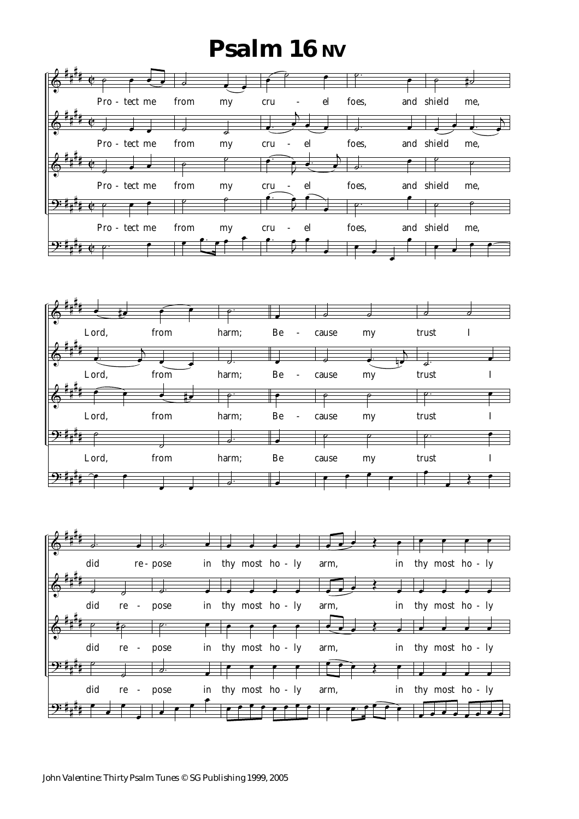## **Psalm 16 NV**